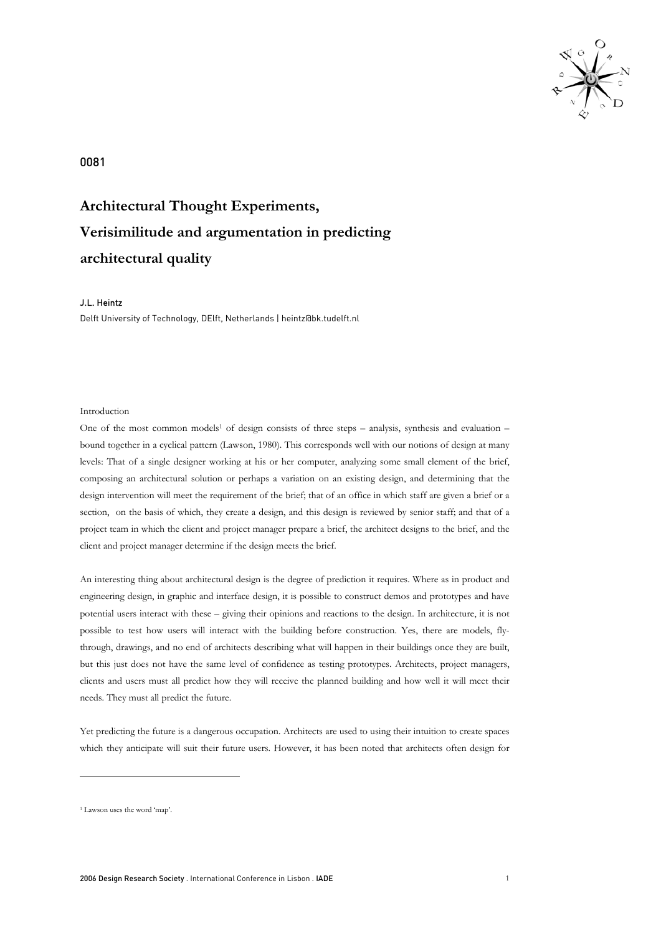

0081

# **Architectural Thought Experiments, Verisimilitude and argumentation in predicting architectural quality**

## J.L. Heintz

Delft University of Technology, DElft, Netherlands | heintz@bk.tudelft.nl

# Introduction

One of the most common models<sup>1</sup> of design consists of three steps – analysis, synthesis and evaluation – bound together in a cyclical pattern (Lawson, 1980). This corresponds well with our notions of design at many levels: That of a single designer working at his or her computer, analyzing some small element of the brief, composing an architectural solution or perhaps a variation on an existing design, and determining that the design intervention will meet the requirement of the brief; that of an office in which staff are given a brief or a section, on the basis of which, they create a design, and this design is reviewed by senior staff; and that of a project team in which the client and project manager prepare a brief, the architect designs to the brief, and the client and project manager determine if the design meets the brief.

An interesting thing about architectural design is the degree of prediction it requires. Where as in product and engineering design, in graphic and interface design, it is possible to construct demos and prototypes and have potential users interact with these – giving their opinions and reactions to the design. In architecture, it is not possible to test how users will interact with the building before construction. Yes, there are models, flythrough, drawings, and no end of architects describing what will happen in their buildings once they are built, but this just does not have the same level of confidence as testing prototypes. Architects, project managers, clients and users must all predict how they will receive the planned building and how well it will meet their needs. They must all predict the future.

Yet predicting the future is a dangerous occupation. Architects are used to using their intuition to create spaces which they anticipate will suit their future users. However, it has been noted that architects often design for

-

<sup>1</sup> Lawson uses the word 'map'.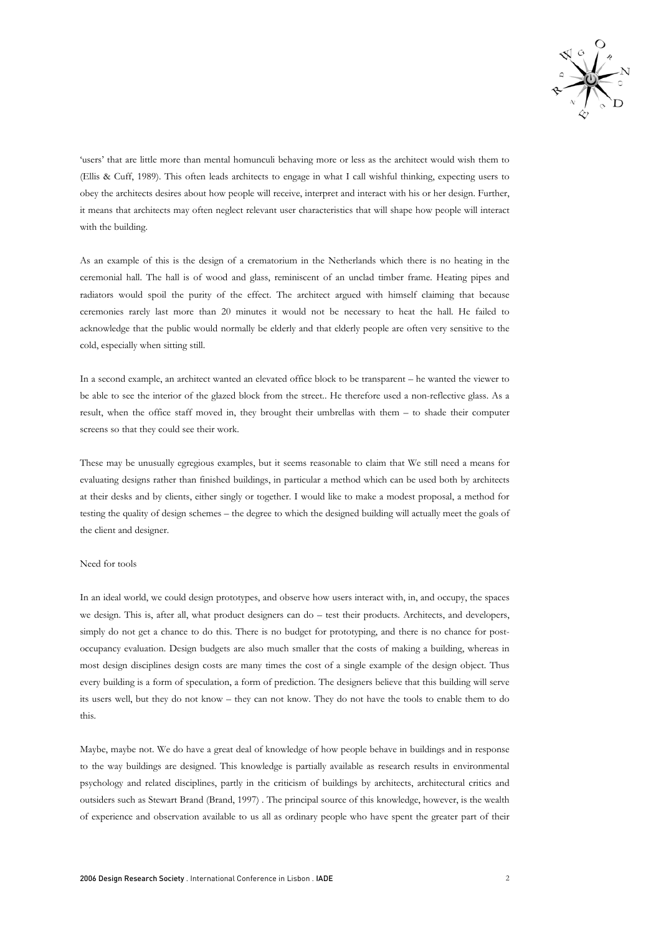

'users' that are little more than mental homunculi behaving more or less as the architect would wish them to (Ellis & Cuff, 1989). This often leads architects to engage in what I call wishful thinking, expecting users to obey the architects desires about how people will receive, interpret and interact with his or her design. Further, it means that architects may often neglect relevant user characteristics that will shape how people will interact with the building.

As an example of this is the design of a crematorium in the Netherlands which there is no heating in the ceremonial hall. The hall is of wood and glass, reminiscent of an unclad timber frame. Heating pipes and radiators would spoil the purity of the effect. The architect argued with himself claiming that because ceremonies rarely last more than 20 minutes it would not be necessary to heat the hall. He failed to acknowledge that the public would normally be elderly and that elderly people are often very sensitive to the cold, especially when sitting still.

In a second example, an architect wanted an elevated office block to be transparent – he wanted the viewer to be able to see the interior of the glazed block from the street.. He therefore used a non-reflective glass. As a result, when the office staff moved in, they brought their umbrellas with them – to shade their computer screens so that they could see their work.

These may be unusually egregious examples, but it seems reasonable to claim that We still need a means for evaluating designs rather than finished buildings, in particular a method which can be used both by architects at their desks and by clients, either singly or together. I would like to make a modest proposal, a method for testing the quality of design schemes – the degree to which the designed building will actually meet the goals of the client and designer.

# Need for tools

In an ideal world, we could design prototypes, and observe how users interact with, in, and occupy, the spaces we design. This is, after all, what product designers can do – test their products. Architects, and developers, simply do not get a chance to do this. There is no budget for prototyping, and there is no chance for postoccupancy evaluation. Design budgets are also much smaller that the costs of making a building, whereas in most design disciplines design costs are many times the cost of a single example of the design object. Thus every building is a form of speculation, a form of prediction. The designers believe that this building will serve its users well, but they do not know – they can not know. They do not have the tools to enable them to do this.

Maybe, maybe not. We do have a great deal of knowledge of how people behave in buildings and in response to the way buildings are designed. This knowledge is partially available as research results in environmental psychology and related disciplines, partly in the criticism of buildings by architects, architectural critics and outsiders such as Stewart Brand (Brand, 1997) . The principal source of this knowledge, however, is the wealth of experience and observation available to us all as ordinary people who have spent the greater part of their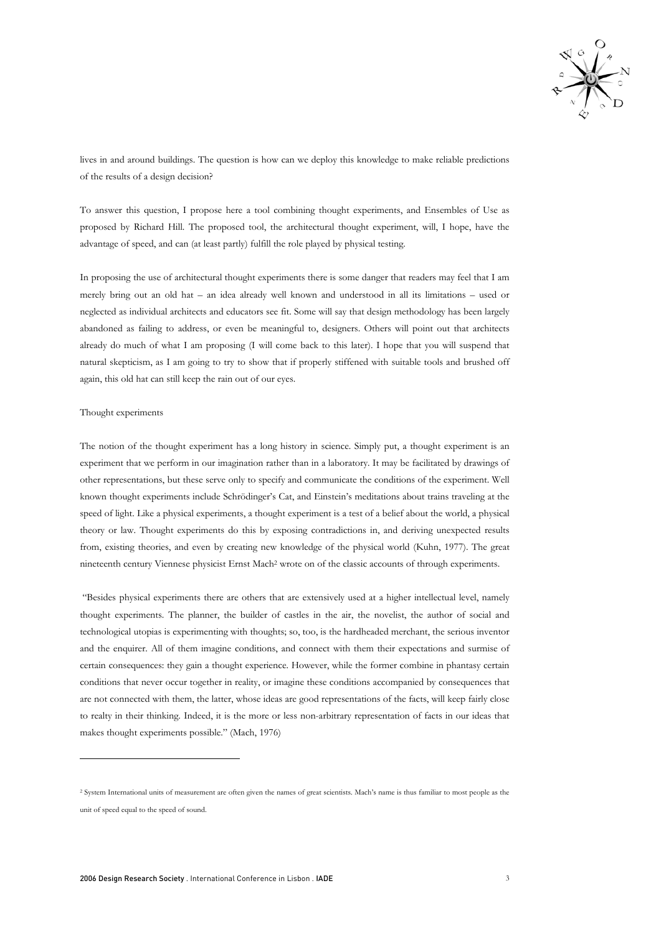

lives in and around buildings. The question is how can we deploy this knowledge to make reliable predictions of the results of a design decision?

To answer this question, I propose here a tool combining thought experiments, and Ensembles of Use as proposed by Richard Hill. The proposed tool, the architectural thought experiment, will, I hope, have the advantage of speed, and can (at least partly) fulfill the role played by physical testing.

In proposing the use of architectural thought experiments there is some danger that readers may feel that I am merely bring out an old hat – an idea already well known and understood in all its limitations – used or neglected as individual architects and educators see fit. Some will say that design methodology has been largely abandoned as failing to address, or even be meaningful to, designers. Others will point out that architects already do much of what I am proposing (I will come back to this later). I hope that you will suspend that natural skepticism, as I am going to try to show that if properly stiffened with suitable tools and brushed off again, this old hat can still keep the rain out of our eyes.

#### Thought experiments

-

The notion of the thought experiment has a long history in science. Simply put, a thought experiment is an experiment that we perform in our imagination rather than in a laboratory. It may be facilitated by drawings of other representations, but these serve only to specify and communicate the conditions of the experiment. Well known thought experiments include Schrödinger's Cat, and Einstein's meditations about trains traveling at the speed of light. Like a physical experiments, a thought experiment is a test of a belief about the world, a physical theory or law. Thought experiments do this by exposing contradictions in, and deriving unexpected results from, existing theories, and even by creating new knowledge of the physical world (Kuhn, 1977). The great nineteenth century Viennese physicist Ernst Mach2 wrote on of the classic accounts of through experiments.

 "Besides physical experiments there are others that are extensively used at a higher intellectual level, namely thought experiments. The planner, the builder of castles in the air, the novelist, the author of social and technological utopias is experimenting with thoughts; so, too, is the hardheaded merchant, the serious inventor and the enquirer. All of them imagine conditions, and connect with them their expectations and surmise of certain consequences: they gain a thought experience. However, while the former combine in phantasy certain conditions that never occur together in reality, or imagine these conditions accompanied by consequences that are not connected with them, the latter, whose ideas are good representations of the facts, will keep fairly close to realty in their thinking. Indeed, it is the more or less non-arbitrary representation of facts in our ideas that makes thought experiments possible." (Mach, 1976)

<sup>2</sup> System International units of measurement are often given the names of great scientists. Mach's name is thus familiar to most people as the unit of speed equal to the speed of sound.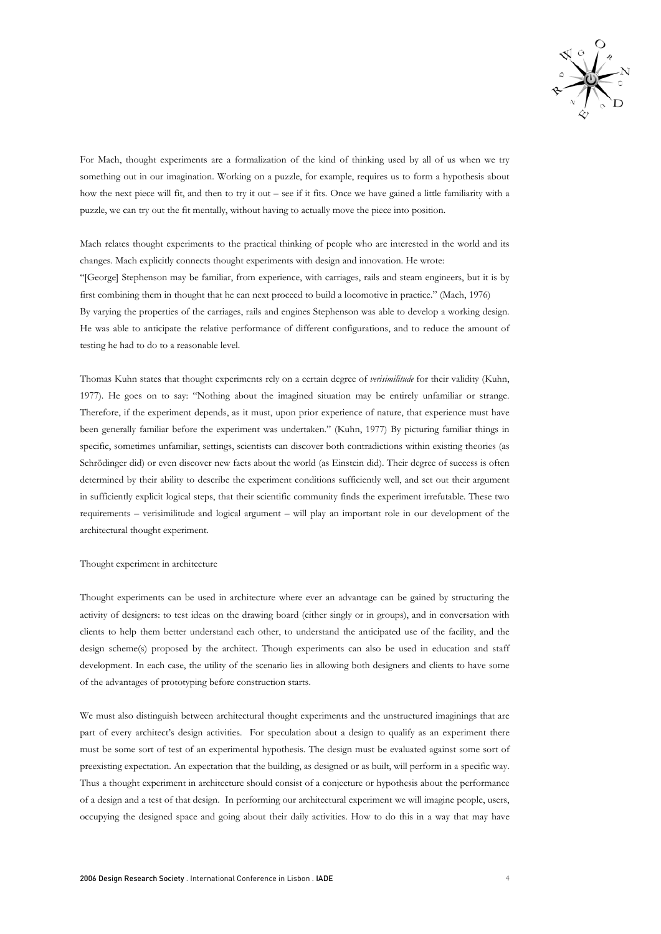

For Mach, thought experiments are a formalization of the kind of thinking used by all of us when we try something out in our imagination. Working on a puzzle, for example, requires us to form a hypothesis about how the next piece will fit, and then to try it out – see if it fits. Once we have gained a little familiarity with a puzzle, we can try out the fit mentally, without having to actually move the piece into position.

Mach relates thought experiments to the practical thinking of people who are interested in the world and its changes. Mach explicitly connects thought experiments with design and innovation. He wrote: "[George] Stephenson may be familiar, from experience, with carriages, rails and steam engineers, but it is by first combining them in thought that he can next proceed to build a locomotive in practice." (Mach, 1976) By varying the properties of the carriages, rails and engines Stephenson was able to develop a working design. He was able to anticipate the relative performance of different configurations, and to reduce the amount of testing he had to do to a reasonable level.

Thomas Kuhn states that thought experiments rely on a certain degree of *verisimilitude* for their validity (Kuhn, 1977). He goes on to say: "Nothing about the imagined situation may be entirely unfamiliar or strange. Therefore, if the experiment depends, as it must, upon prior experience of nature, that experience must have been generally familiar before the experiment was undertaken." (Kuhn, 1977) By picturing familiar things in specific, sometimes unfamiliar, settings, scientists can discover both contradictions within existing theories (as Schrödinger did) or even discover new facts about the world (as Einstein did). Their degree of success is often determined by their ability to describe the experiment conditions sufficiently well, and set out their argument in sufficiently explicit logical steps, that their scientific community finds the experiment irrefutable. These two requirements – verisimilitude and logical argument – will play an important role in our development of the architectural thought experiment.

## Thought experiment in architecture

Thought experiments can be used in architecture where ever an advantage can be gained by structuring the activity of designers: to test ideas on the drawing board (either singly or in groups), and in conversation with clients to help them better understand each other, to understand the anticipated use of the facility, and the design scheme(s) proposed by the architect. Though experiments can also be used in education and staff development. In each case, the utility of the scenario lies in allowing both designers and clients to have some of the advantages of prototyping before construction starts.

We must also distinguish between architectural thought experiments and the unstructured imaginings that are part of every architect's design activities. For speculation about a design to qualify as an experiment there must be some sort of test of an experimental hypothesis. The design must be evaluated against some sort of preexisting expectation. An expectation that the building, as designed or as built, will perform in a specific way. Thus a thought experiment in architecture should consist of a conjecture or hypothesis about the performance of a design and a test of that design. In performing our architectural experiment we will imagine people, users, occupying the designed space and going about their daily activities. How to do this in a way that may have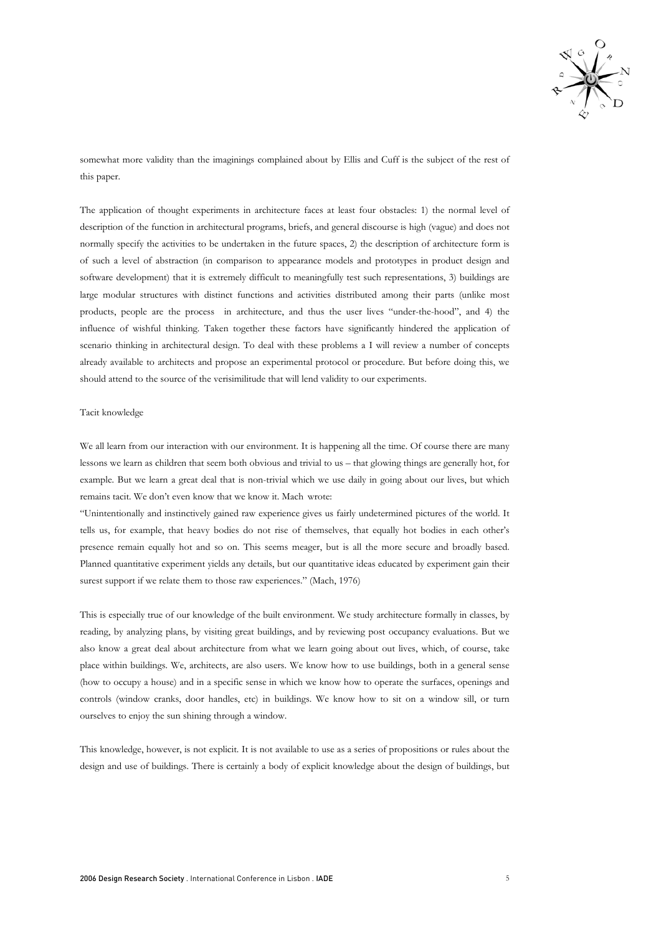

somewhat more validity than the imaginings complained about by Ellis and Cuff is the subject of the rest of this paper.

The application of thought experiments in architecture faces at least four obstacles: 1) the normal level of description of the function in architectural programs, briefs, and general discourse is high (vague) and does not normally specify the activities to be undertaken in the future spaces, 2) the description of architecture form is of such a level of abstraction (in comparison to appearance models and prototypes in product design and software development) that it is extremely difficult to meaningfully test such representations, 3) buildings are large modular structures with distinct functions and activities distributed among their parts (unlike most products, people are the process in architecture, and thus the user lives "under-the-hood", and 4) the influence of wishful thinking. Taken together these factors have significantly hindered the application of scenario thinking in architectural design. To deal with these problems a I will review a number of concepts already available to architects and propose an experimental protocol or procedure. But before doing this, we should attend to the source of the verisimilitude that will lend validity to our experiments.

#### Tacit knowledge

We all learn from our interaction with our environment. It is happening all the time. Of course there are many lessons we learn as children that seem both obvious and trivial to us – that glowing things are generally hot, for example. But we learn a great deal that is non-trivial which we use daily in going about our lives, but which remains tacit. We don't even know that we know it. Mach wrote:

"Unintentionally and instinctively gained raw experience gives us fairly undetermined pictures of the world. It tells us, for example, that heavy bodies do not rise of themselves, that equally hot bodies in each other's presence remain equally hot and so on. This seems meager, but is all the more secure and broadly based. Planned quantitative experiment yields any details, but our quantitative ideas educated by experiment gain their surest support if we relate them to those raw experiences." (Mach, 1976)

This is especially true of our knowledge of the built environment. We study architecture formally in classes, by reading, by analyzing plans, by visiting great buildings, and by reviewing post occupancy evaluations. But we also know a great deal about architecture from what we learn going about out lives, which, of course, take place within buildings. We, architects, are also users. We know how to use buildings, both in a general sense (how to occupy a house) and in a specific sense in which we know how to operate the surfaces, openings and controls (window cranks, door handles, etc) in buildings. We know how to sit on a window sill, or turn ourselves to enjoy the sun shining through a window.

This knowledge, however, is not explicit. It is not available to use as a series of propositions or rules about the design and use of buildings. There is certainly a body of explicit knowledge about the design of buildings, but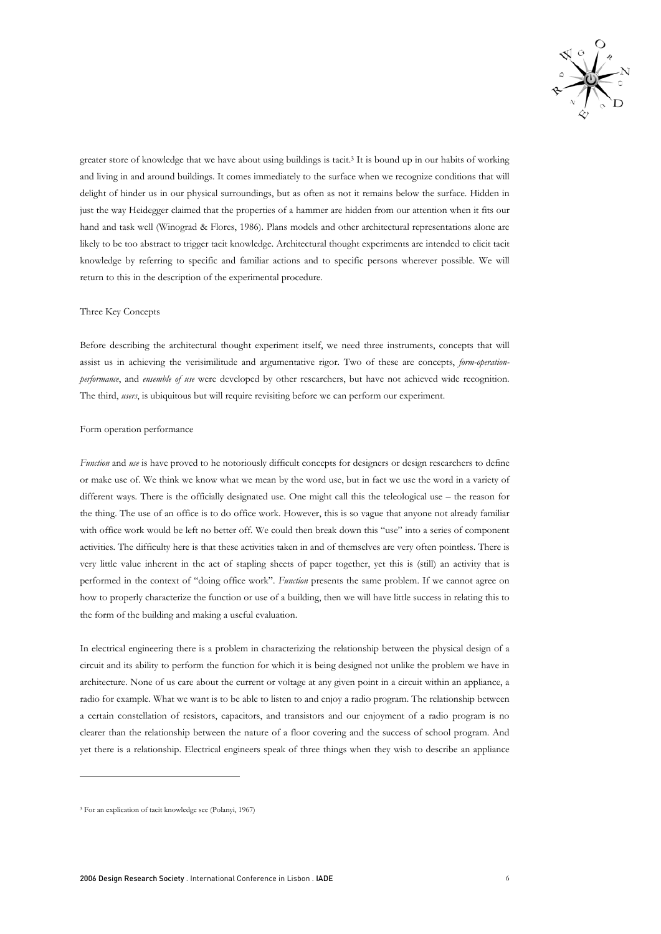

greater store of knowledge that we have about using buildings is tacit.3 It is bound up in our habits of working and living in and around buildings. It comes immediately to the surface when we recognize conditions that will delight of hinder us in our physical surroundings, but as often as not it remains below the surface. Hidden in just the way Heidegger claimed that the properties of a hammer are hidden from our attention when it fits our hand and task well (Winograd & Flores, 1986). Plans models and other architectural representations alone are likely to be too abstract to trigger tacit knowledge. Architectural thought experiments are intended to elicit tacit knowledge by referring to specific and familiar actions and to specific persons wherever possible. We will return to this in the description of the experimental procedure.

## Three Key Concepts

Before describing the architectural thought experiment itself, we need three instruments, concepts that will assist us in achieving the verisimilitude and argumentative rigor. Two of these are concepts, *form-operationperformance*, and *ensemble of use* were developed by other researchers, but have not achieved wide recognition. The third, *users*, is ubiquitous but will require revisiting before we can perform our experiment.

## Form operation performance

*Function* and *use* is have proved to he notoriously difficult concepts for designers or design researchers to define or make use of. We think we know what we mean by the word use, but in fact we use the word in a variety of different ways. There is the officially designated use. One might call this the teleological use – the reason for the thing. The use of an office is to do office work. However, this is so vague that anyone not already familiar with office work would be left no better off. We could then break down this "use" into a series of component activities. The difficulty here is that these activities taken in and of themselves are very often pointless. There is very little value inherent in the act of stapling sheets of paper together, yet this is (still) an activity that is performed in the context of "doing office work". *Function* presents the same problem. If we cannot agree on how to properly characterize the function or use of a building, then we will have little success in relating this to the form of the building and making a useful evaluation.

In electrical engineering there is a problem in characterizing the relationship between the physical design of a circuit and its ability to perform the function for which it is being designed not unlike the problem we have in architecture. None of us care about the current or voltage at any given point in a circuit within an appliance, a radio for example. What we want is to be able to listen to and enjoy a radio program. The relationship between a certain constellation of resistors, capacitors, and transistors and our enjoyment of a radio program is no clearer than the relationship between the nature of a floor covering and the success of school program. And yet there is a relationship. Electrical engineers speak of three things when they wish to describe an appliance

-

<sup>3</sup> For an explication of tacit knowledge see (Polanyi, 1967)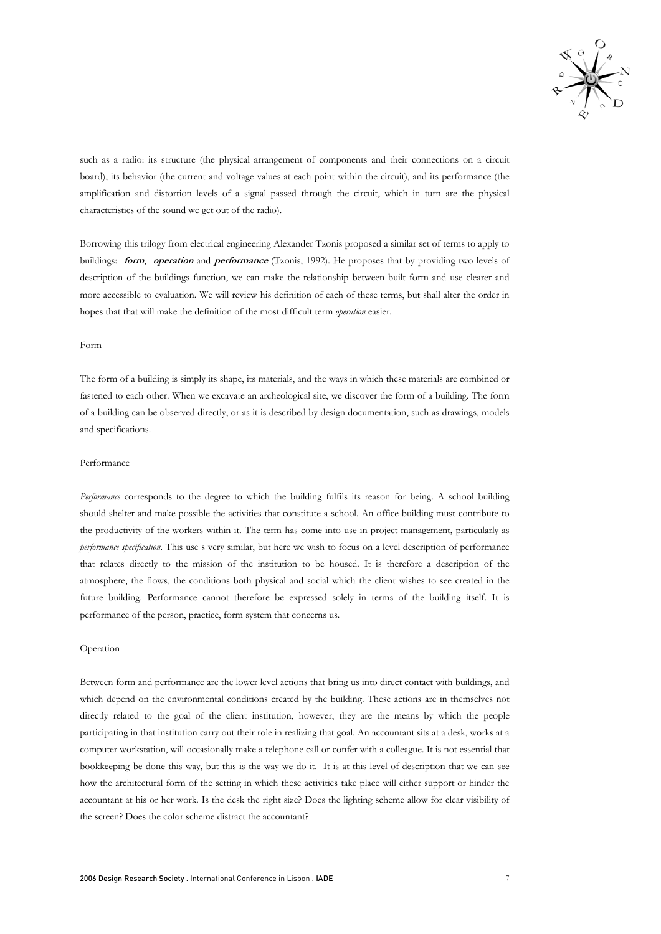

such as a radio: its structure (the physical arrangement of components and their connections on a circuit board), its behavior (the current and voltage values at each point within the circuit), and its performance (the amplification and distortion levels of a signal passed through the circuit, which in turn are the physical characteristics of the sound we get out of the radio).

Borrowing this trilogy from electrical engineering Alexander Tzonis proposed a similar set of terms to apply to buildings: **form**, **operation** and **performance** (Tzonis, 1992). He proposes that by providing two levels of description of the buildings function, we can make the relationship between built form and use clearer and more accessible to evaluation. We will review his definition of each of these terms, but shall alter the order in hopes that that will make the definition of the most difficult term *operation* easier.

## Form

The form of a building is simply its shape, its materials, and the ways in which these materials are combined or fastened to each other. When we excavate an archeological site, we discover the form of a building. The form of a building can be observed directly, or as it is described by design documentation, such as drawings, models and specifications.

#### Performance

*Performance* corresponds to the degree to which the building fulfils its reason for being. A school building should shelter and make possible the activities that constitute a school. An office building must contribute to the productivity of the workers within it. The term has come into use in project management, particularly as *performance specification*. This use s very similar, but here we wish to focus on a level description of performance that relates directly to the mission of the institution to be housed. It is therefore a description of the atmosphere, the flows, the conditions both physical and social which the client wishes to see created in the future building. Performance cannot therefore be expressed solely in terms of the building itself. It is performance of the person, practice, form system that concerns us.

### Operation

Between form and performance are the lower level actions that bring us into direct contact with buildings, and which depend on the environmental conditions created by the building. These actions are in themselves not directly related to the goal of the client institution, however, they are the means by which the people participating in that institution carry out their role in realizing that goal. An accountant sits at a desk, works at a computer workstation, will occasionally make a telephone call or confer with a colleague. It is not essential that bookkeeping be done this way, but this is the way we do it. It is at this level of description that we can see how the architectural form of the setting in which these activities take place will either support or hinder the accountant at his or her work. Is the desk the right size? Does the lighting scheme allow for clear visibility of the screen? Does the color scheme distract the accountant?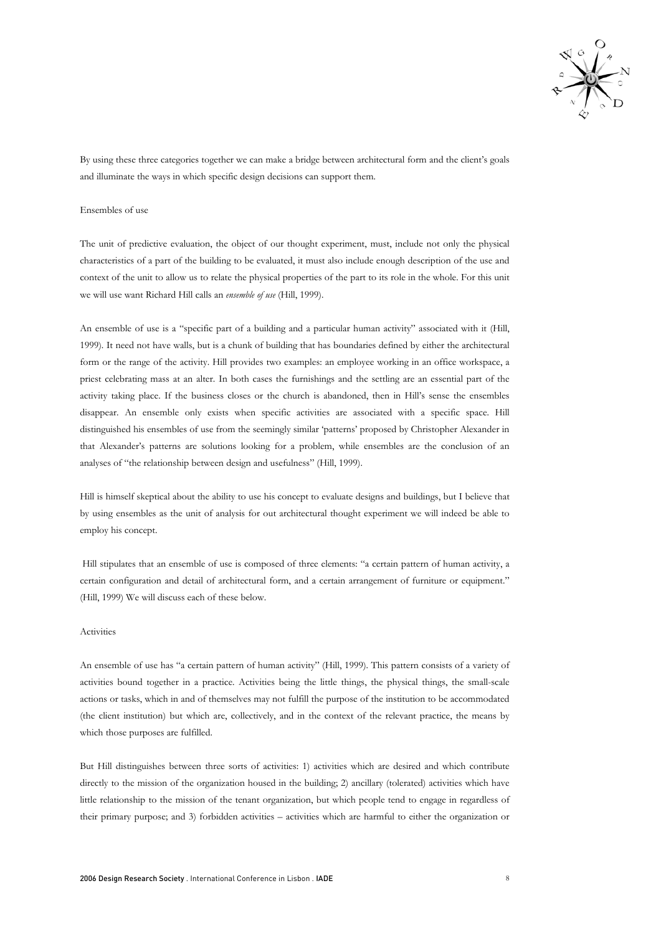

By using these three categories together we can make a bridge between architectural form and the client's goals and illuminate the ways in which specific design decisions can support them.

#### Ensembles of use

The unit of predictive evaluation, the object of our thought experiment, must, include not only the physical characteristics of a part of the building to be evaluated, it must also include enough description of the use and context of the unit to allow us to relate the physical properties of the part to its role in the whole. For this unit we will use want Richard Hill calls an *ensemble of use* (Hill, 1999).

An ensemble of use is a "specific part of a building and a particular human activity" associated with it (Hill, 1999). It need not have walls, but is a chunk of building that has boundaries defined by either the architectural form or the range of the activity. Hill provides two examples: an employee working in an office workspace, a priest celebrating mass at an alter. In both cases the furnishings and the settling are an essential part of the activity taking place. If the business closes or the church is abandoned, then in Hill's sense the ensembles disappear. An ensemble only exists when specific activities are associated with a specific space. Hill distinguished his ensembles of use from the seemingly similar 'patterns' proposed by Christopher Alexander in that Alexander's patterns are solutions looking for a problem, while ensembles are the conclusion of an analyses of "the relationship between design and usefulness" (Hill, 1999).

Hill is himself skeptical about the ability to use his concept to evaluate designs and buildings, but I believe that by using ensembles as the unit of analysis for out architectural thought experiment we will indeed be able to employ his concept.

 Hill stipulates that an ensemble of use is composed of three elements: "a certain pattern of human activity, a certain configuration and detail of architectural form, and a certain arrangement of furniture or equipment." (Hill, 1999) We will discuss each of these below.

#### Activities

An ensemble of use has "a certain pattern of human activity" (Hill, 1999). This pattern consists of a variety of activities bound together in a practice. Activities being the little things, the physical things, the small-scale actions or tasks, which in and of themselves may not fulfill the purpose of the institution to be accommodated (the client institution) but which are, collectively, and in the context of the relevant practice, the means by which those purposes are fulfilled.

But Hill distinguishes between three sorts of activities: 1) activities which are desired and which contribute directly to the mission of the organization housed in the building; 2) ancillary (tolerated) activities which have little relationship to the mission of the tenant organization, but which people tend to engage in regardless of their primary purpose; and 3) forbidden activities – activities which are harmful to either the organization or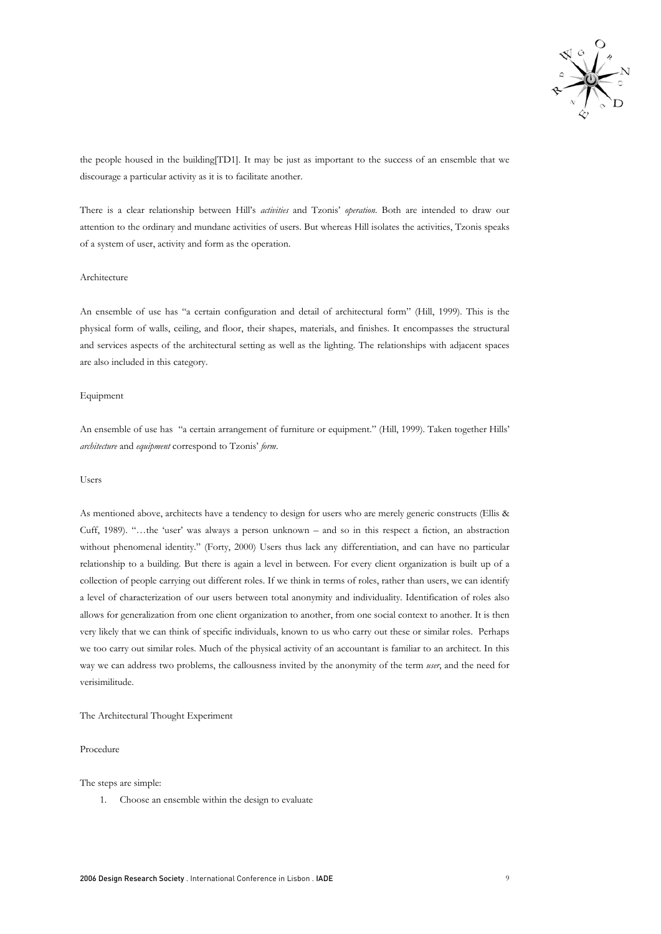

the people housed in the building[TD1]. It may be just as important to the success of an ensemble that we discourage a particular activity as it is to facilitate another.

There is a clear relationship between Hill's *activities* and Tzonis' *operation*. Both are intended to draw our attention to the ordinary and mundane activities of users. But whereas Hill isolates the activities, Tzonis speaks of a system of user, activity and form as the operation.

## Architecture

An ensemble of use has "a certain configuration and detail of architectural form" (Hill, 1999). This is the physical form of walls, ceiling, and floor, their shapes, materials, and finishes. It encompasses the structural and services aspects of the architectural setting as well as the lighting. The relationships with adjacent spaces are also included in this category.

# Equipment

An ensemble of use has "a certain arrangement of furniture or equipment." (Hill, 1999). Taken together Hills' *architecture* and *equipment* correspond to Tzonis' *form*.

## Users

As mentioned above, architects have a tendency to design for users who are merely generic constructs (Ellis & Cuff, 1989). "…the 'user' was always a person unknown – and so in this respect a fiction, an abstraction without phenomenal identity." (Forty, 2000) Users thus lack any differentiation, and can have no particular relationship to a building. But there is again a level in between. For every client organization is built up of a collection of people carrying out different roles. If we think in terms of roles, rather than users, we can identify a level of characterization of our users between total anonymity and individuality. Identification of roles also allows for generalization from one client organization to another, from one social context to another. It is then very likely that we can think of specific individuals, known to us who carry out these or similar roles. Perhaps we too carry out similar roles. Much of the physical activity of an accountant is familiar to an architect. In this way we can address two problems, the callousness invited by the anonymity of the term *user*, and the need for verisimilitude.

#### The Architectural Thought Experiment

# Procedure

The steps are simple:

1. Choose an ensemble within the design to evaluate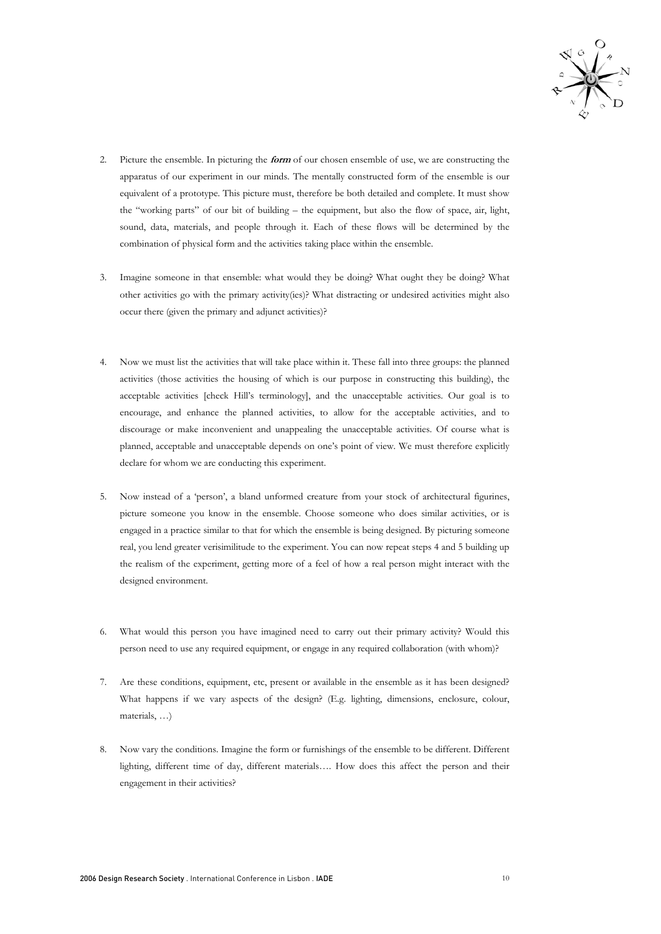

- 2. Picture the ensemble. In picturing the **form** of our chosen ensemble of use, we are constructing the apparatus of our experiment in our minds. The mentally constructed form of the ensemble is our equivalent of a prototype. This picture must, therefore be both detailed and complete. It must show the "working parts" of our bit of building – the equipment, but also the flow of space, air, light, sound, data, materials, and people through it. Each of these flows will be determined by the combination of physical form and the activities taking place within the ensemble.
- 3. Imagine someone in that ensemble: what would they be doing? What ought they be doing? What other activities go with the primary activity(ies)? What distracting or undesired activities might also occur there (given the primary and adjunct activities)?
- 4. Now we must list the activities that will take place within it. These fall into three groups: the planned activities (those activities the housing of which is our purpose in constructing this building), the acceptable activities [check Hill's terminology], and the unacceptable activities. Our goal is to encourage, and enhance the planned activities, to allow for the acceptable activities, and to discourage or make inconvenient and unappealing the unacceptable activities. Of course what is planned, acceptable and unacceptable depends on one's point of view. We must therefore explicitly declare for whom we are conducting this experiment.
- 5. Now instead of a 'person', a bland unformed creature from your stock of architectural figurines, picture someone you know in the ensemble. Choose someone who does similar activities, or is engaged in a practice similar to that for which the ensemble is being designed. By picturing someone real, you lend greater verisimilitude to the experiment. You can now repeat steps 4 and 5 building up the realism of the experiment, getting more of a feel of how a real person might interact with the designed environment.
- 6. What would this person you have imagined need to carry out their primary activity? Would this person need to use any required equipment, or engage in any required collaboration (with whom)?
- 7. Are these conditions, equipment, etc, present or available in the ensemble as it has been designed? What happens if we vary aspects of the design? (E.g. lighting, dimensions, enclosure, colour, materials, …)
- 8. Now vary the conditions. Imagine the form or furnishings of the ensemble to be different. Different lighting, different time of day, different materials…. How does this affect the person and their engagement in their activities?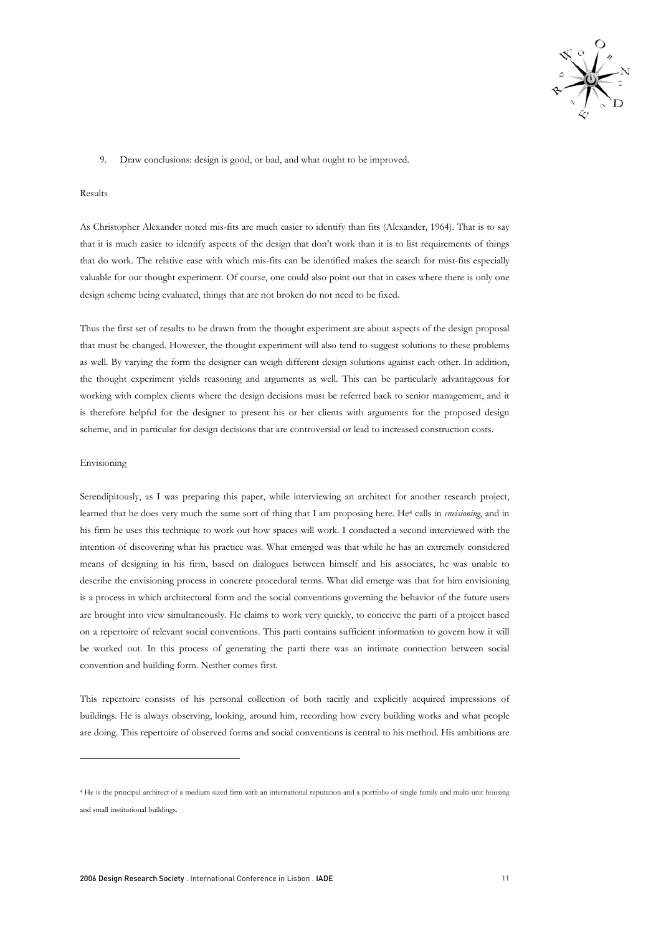

9. Draw conclusions: design is good, or bad, and what ought to be improved.

# Results

As Christopher Alexander noted mis-fits are much easier to identify than fits (Alexander, 1964). That is to say that it is much easier to identify aspects of the design that don't work than it is to list requirements of things that do work. The relative ease with which mis-fits can be identified makes the search for mist-fits especially valuable for our thought experiment. Of course, one could also point out that in cases where there is only one design scheme being evaluated, things that are not broken do not need to be fixed.

Thus the first set of results to be drawn from the thought experiment are about aspects of the design proposal that must be changed. However, the thought experiment will also tend to suggest solutions to these problems as well. By varying the form the designer can weigh different design solutions against each other. In addition, the thought experiment yields reasoning and arguments as well. This can be particularly advantageous for working with complex clients where the design decisions must be referred back to senior management, and it is therefore helpful for the designer to present his or her clients with arguments for the proposed design scheme, and in particular for design decisions that are controversial or lead to increased construction costs.

#### Envisioning

-

Serendipitously, as I was preparing this paper, while interviewing an architect for another research project, learned that he does very much the same sort of thing that I am proposing here. He4 calls in *envisioning*, and in his firm he uses this technique to work out how spaces will work. I conducted a second interviewed with the intention of discovering what his practice was. What emerged was that while he has an extremely considered means of designing in his firm, based on dialogues between himself and his associates, he was unable to describe the envisioning process in concrete procedural terms. What did emerge was that for him envisioning is a process in which architectural form and the social conventions governing the behavior of the future users are brought into view simultaneously. He claims to work very quickly, to conceive the parti of a project based on a repertoire of relevant social conventions. This parti contains sufficient information to govern how it will be worked out. In this process of generating the parti there was an intimate connection between social convention and building form. Neither comes first.

This repertoire consists of his personal collection of both tacitly and explicitly acquired impressions of buildings. He is always observing, looking, around him, recording how every building works and what people are doing. This repertoire of observed forms and social conventions is central to his method. His ambitions are

<sup>4</sup> He is the principal architect of a medium sized firm with an international reputation and a portfolio of single family and multi-unit housing and small institutional buildings.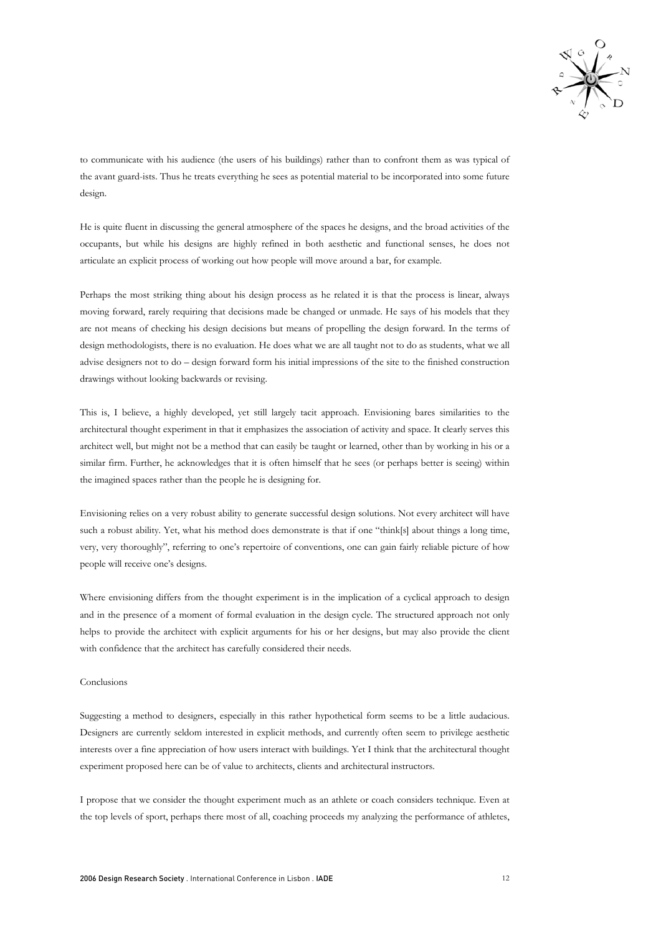

to communicate with his audience (the users of his buildings) rather than to confront them as was typical of the avant guard-ists. Thus he treats everything he sees as potential material to be incorporated into some future design.

He is quite fluent in discussing the general atmosphere of the spaces he designs, and the broad activities of the occupants, but while his designs are highly refined in both aesthetic and functional senses, he does not articulate an explicit process of working out how people will move around a bar, for example.

Perhaps the most striking thing about his design process as he related it is that the process is linear, always moving forward, rarely requiring that decisions made be changed or unmade. He says of his models that they are not means of checking his design decisions but means of propelling the design forward. In the terms of design methodologists, there is no evaluation. He does what we are all taught not to do as students, what we all advise designers not to do – design forward form his initial impressions of the site to the finished construction drawings without looking backwards or revising.

This is, I believe, a highly developed, yet still largely tacit approach. Envisioning bares similarities to the architectural thought experiment in that it emphasizes the association of activity and space. It clearly serves this architect well, but might not be a method that can easily be taught or learned, other than by working in his or a similar firm. Further, he acknowledges that it is often himself that he sees (or perhaps better is seeing) within the imagined spaces rather than the people he is designing for.

Envisioning relies on a very robust ability to generate successful design solutions. Not every architect will have such a robust ability. Yet, what his method does demonstrate is that if one "think[s] about things a long time, very, very thoroughly", referring to one's repertoire of conventions, one can gain fairly reliable picture of how people will receive one's designs.

Where envisioning differs from the thought experiment is in the implication of a cyclical approach to design and in the presence of a moment of formal evaluation in the design cycle. The structured approach not only helps to provide the architect with explicit arguments for his or her designs, but may also provide the client with confidence that the architect has carefully considered their needs.

#### Conclusions

Suggesting a method to designers, especially in this rather hypothetical form seems to be a little audacious. Designers are currently seldom interested in explicit methods, and currently often seem to privilege aesthetic interests over a fine appreciation of how users interact with buildings. Yet I think that the architectural thought experiment proposed here can be of value to architects, clients and architectural instructors.

I propose that we consider the thought experiment much as an athlete or coach considers technique. Even at the top levels of sport, perhaps there most of all, coaching proceeds my analyzing the performance of athletes,